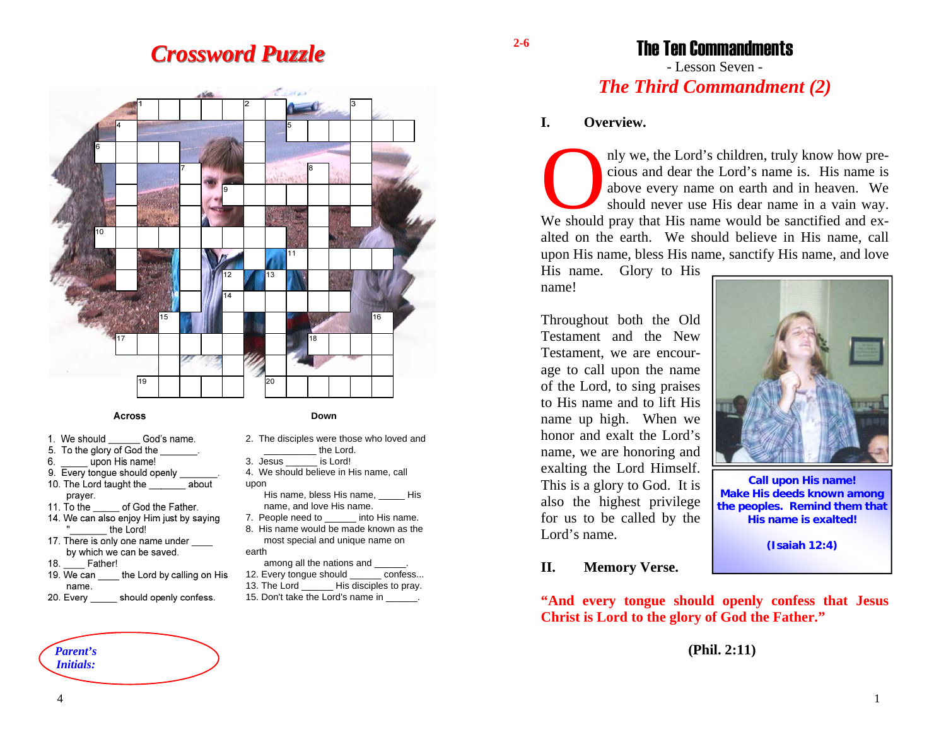## *Crossword Puzzle Crossword Puzzle*



#### **Across**

- God's name 1. We should
- 5. To the glory of God the
- 6. upon His name!
- 9. Every tongue should openly 10. The Lord taught the about praver.
- 11. To the of God the Father.
- 14. We can also enjoy Him just by saying the Lord!
- 17. There is only one name under by which we can be saved.
- Father! 18
- 19. We can the Lord by calling on His name.
- 20. Every should openly confess.

### **Down**

- 2. The disciples were those who loved and the Lord.
- 3. Jesus \_\_\_\_\_\_ is Lord!
- 4. We should believe in His name, call upon
	- His name, bless His name, \_\_\_\_\_ His name, and love His name.
- 7. People need to **into His name.** 8. His name would be made known as themost special and unique name on
- earth
- among all the nations and \_\_\_\_\_\_. 12. Every tongue should confess...
- 13. The Lord \_\_\_\_\_\_\_\_ His disciples to pray.
- 15. Don't take the Lord's name in \_\_\_\_\_\_.

The Ten Commandments - Lesson Seven -

# *The Third Commandment (2)*

### **I. Overview.**

nly we, the Lord's children, truly know how precious and dear the Lord's name is. His name is above every name on earth and in heaven. We should never use His dear name in a vain way. We should pray that His name would be sanctified and exalted on the earth. We should believe in His name, call upon His name, bless His name, sanctify His name, and love

His name. Glory to His name!

Throughout both the Old Testament and the New Testament, we are encourage to call upon the name of the Lord, to sing praises to His name and to lift His name up high. When we honor and exalt the Lord's name, we are honoring and exalting the Lord Himself. This is a glory to God. It is also the highest privilege for us to be called by the Lord's name.



**Call upon His name! Make His deeds known among the peoples. Remind them that His name is exalted!** 

**(Isaiah 12:4)** 

### **II. Memory Verse.**

**"And every tongue should openly confess that Jesus Christ is Lord to the glory of God the Father."** 

### **(Phil. 2:11)**

# *Initials:*

*Parent's* 

**2-6** 

4